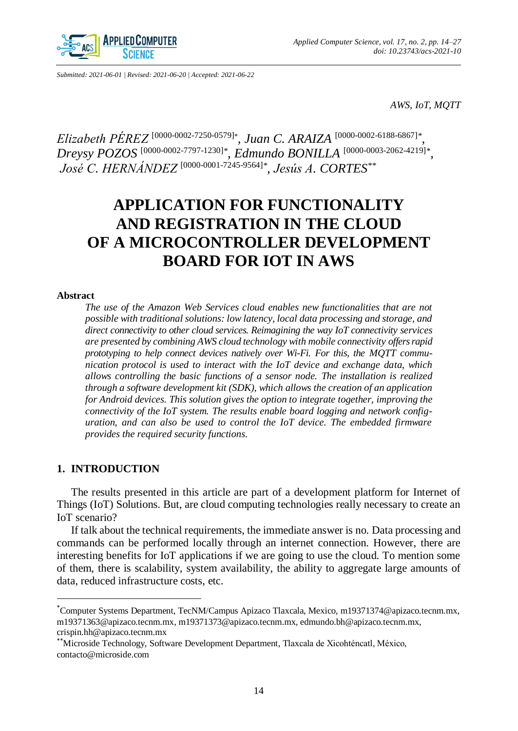

*Submitted: 2021-06-01 | Revised: 2021-06-20 | Accepted: 2021-06-22*

*AWS, IoT, MQTT*

*Elizabeth PÉREZ* [\[0000-0002-7250-0579\]](https://orcid.org/0000-0002-7250-0579)*\* , Juan C. ARAIZA* [\[0000-0002-6188-6867\]](https://orcid.org/0000-0002-6188-6867)*\* , Dreysy POZOS* [\[0000-0002-7797-1230\]](https://orcid.org/0000-0002-7797-1230)*\* , Edmundo BONILLA* [\[0000-0003-2062-4219\]](https://orcid.org/0000-0003-2062-4219)*\* , José C. HERNÁNDEZ* [\[0000-0001-7245-9564\]](https://orcid.org/0000-0001-7245-9564)*\* , Jesús A. CORTES\*\**

# **APPLICATION FOR FUNCTIONALITY AND REGISTRATION IN THE CLOUD OF A MICROCONTROLLER DEVELOPMENT BOARD FOR IOT IN AWS**

#### **Abstract**

*The use of the Amazon Web Services cloud enables new functionalities that are not possible with traditional solutions: low latency, local data processing and storage, and direct connectivity to other cloud services. Reimagining the way IoT connectivity services are presented by combining AWS cloud technology with mobile connectivity offers rapid prototyping to help connect devices natively over Wi-Fi. For this, the MQTT communication protocol is used to interact with the IoT device and exchange data, which allows controlling the basic functions of a sensor node. The installation is realized through a software development kit (SDK), which allows the creation of an application for Android devices. This solution gives the option to integrate together, improving the connectivity of the IoT system. The results enable board logging and network configuration, and can also be used to control the IoT device. The embedded firmware provides the required security functions.* 

## **1. INTRODUCTION**

 $\overline{a}$ 

The results presented in this article are part of a development platform for Internet of Things (IoT) Solutions. But, are cloud computing technologies really necessary to create an IoT scenario?

If talk about the technical requirements, the immediate answer is no. Data processing and commands can be performed locally through an internet connection. However, there are interesting benefits for IoT applications if we are going to use the cloud. To mention some of them, there is scalability, system availability, the ability to aggregate large amounts of data, reduced infrastructure costs, etc.

<sup>\*</sup>Computer Systems Department, TecNM/Campus Apizaco Tlaxcala, Mexico, m19371374@apizaco.tecnm.mx, m19371363@apizaco.tecnm.mx, m19371373@apizaco.tecnm.mx, edmundo.bh@apizaco.tecnm.mx, crispin.hh@apizaco.tecnm.mx

<sup>\*\*</sup>Microside Technology, Software Development Department, Tlaxcala de Xicohténcatl, México, contacto@microside.com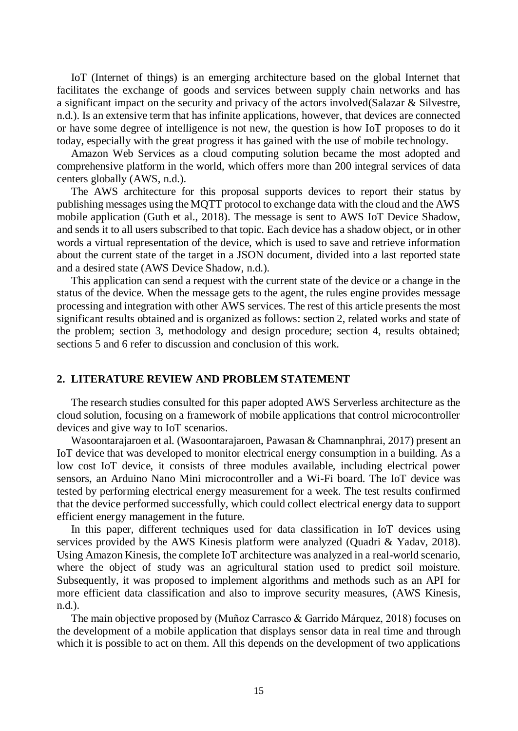IoT (Internet of things) is an emerging architecture based on the global Internet that facilitates the exchange of goods and services between supply chain networks and has a significant impact on the security and privacy of the actors involved(Salazar & Silvestre, n.d.). Is an extensive term that has infinite applications, however, that devices are connected or have some degree of intelligence is not new, the question is how IoT proposes to do it today, especially with the great progress it has gained with the use of mobile technology.

Amazon Web Services as a cloud computing solution became the most adopted and comprehensive platform in the world, which offers more than 200 integral services of data centers globally (AWS, n.d.).

The AWS architecture for this proposal supports devices to report their status by publishing messages using the MQTT protocol to exchange data with the cloud and the AWS mobile application (Guth et al., 2018). The message is sent to AWS IoT Device Shadow, and sends it to all users subscribed to that topic. Each device has a shadow object, or in other words a virtual representation of the device, which is used to save and retrieve information about the current state of the target in a JSON document, divided into a last reported state and a desired state (AWS Device Shadow, n.d.).

This application can send a request with the current state of the device or a change in the status of the device. When the message gets to the agent, the rules engine provides message processing and integration with other AWS services. The rest of this article presents the most significant results obtained and is organized as follows: section 2, related works and state of the problem; section 3, methodology and design procedure; section 4, results obtained; sections 5 and 6 refer to discussion and conclusion of this work.

#### **2. LITERATURE REVIEW AND PROBLEM STATEMENT**

The research studies consulted for this paper adopted AWS Serverless architecture as the cloud solution, focusing on a framework of mobile applications that control microcontroller devices and give way to IoT scenarios.

Wasoontarajaroen et al. (Wasoontarajaroen, Pawasan & Chamnanphrai, 2017) present an IoT device that was developed to monitor electrical energy consumption in a building. As a low cost IoT device, it consists of three modules available, including electrical power sensors, an Arduino Nano Mini microcontroller and a Wi-Fi board. The IoT device was tested by performing electrical energy measurement for a week. The test results confirmed that the device performed successfully, which could collect electrical energy data to support efficient energy management in the future.

In this paper, different techniques used for data classification in IoT devices using services provided by the AWS Kinesis platform were analyzed (Quadri & Yadav, 2018). Using Amazon Kinesis, the complete IoT architecture was analyzed in a real-world scenario, where the object of study was an agricultural station used to predict soil moisture. Subsequently, it was proposed to implement algorithms and methods such as an API for more efficient data classification and also to improve security measures, (AWS Kinesis, n.d.).

The main objective proposed by (Muñoz Carrasco & Garrido Márquez, 2018) focuses on the development of a mobile application that displays sensor data in real time and through which it is possible to act on them. All this depends on the development of two applications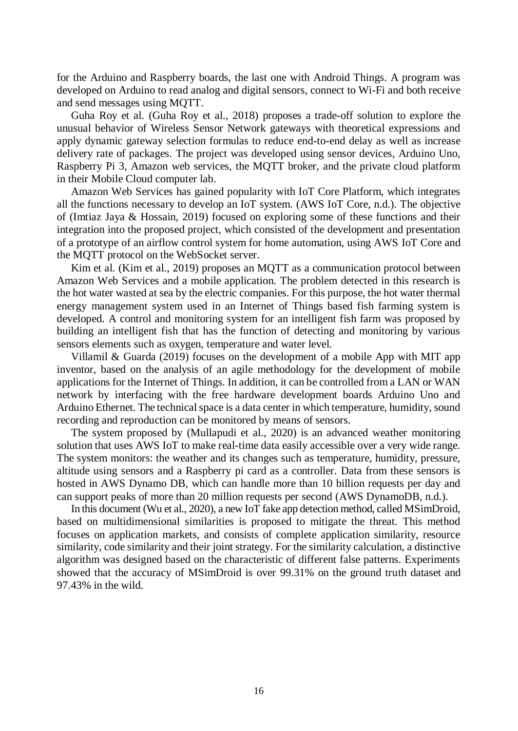for the Arduino and Raspberry boards, the last one with Android Things. A program was developed on Arduino to read analog and digital sensors, connect to Wi-Fi and both receive and send messages using MQTT.

Guha Roy et al. (Guha Roy et al., 2018) proposes a trade-off solution to explore the unusual behavior of Wireless Sensor Network gateways with theoretical expressions and apply dynamic gateway selection formulas to reduce end-to-end delay as well as increase delivery rate of packages. The project was developed using sensor devices, Arduino Uno, Raspberry Pi 3, Amazon web services, the MQTT broker, and the private cloud platform in their Mobile Cloud computer lab.

Amazon Web Services has gained popularity with IoT Core Platform, which integrates all the functions necessary to develop an IoT system. (AWS IoT Core, n.d.). The objective of (Imtiaz Jaya & Hossain, 2019) focused on exploring some of these functions and their integration into the proposed project, which consisted of the development and presentation of a prototype of an airflow control system for home automation, using AWS IoT Core and the MQTT protocol on the WebSocket server.

Kim et al. (Kim et al., 2019) proposes an MQTT as a communication protocol between Amazon Web Services and a mobile application. The problem detected in this research is the hot water wasted at sea by the electric companies. For this purpose, the hot water thermal energy management system used in an Internet of Things based fish farming system is developed. A control and monitoring system for an intelligent fish farm was proposed by building an intelligent fish that has the function of detecting and monitoring by various sensors elements such as oxygen, temperature and water level.

Villamil & Guarda (2019) focuses on the development of a mobile App with MIT app inventor, based on the analysis of an agile methodology for the development of mobile applications for the Internet of Things. In addition, it can be controlled from a LAN or WAN network by interfacing with the free hardware development boards Arduino Uno and Arduino Ethernet. The technical space is a data center in which temperature, humidity, sound recording and reproduction can be monitored by means of sensors.

The system proposed by (Mullapudi et al., 2020) is an advanced weather monitoring solution that uses AWS IoT to make real-time data easily accessible over a very wide range. The system monitors: the weather and its changes such as temperature, humidity, pressure, altitude using sensors and a Raspberry pi card as a controller. Data from these sensors is hosted in AWS Dynamo DB, which can handle more than 10 billion requests per day and can support peaks of more than 20 million requests per second (AWS DynamoDB, n.d.).

In this document (Wu et al., 2020), a new IoT fake app detection method, called MSimDroid, based on multidimensional similarities is proposed to mitigate the threat. This method focuses on application markets, and consists of complete application similarity, resource similarity, code similarity and their joint strategy. For the similarity calculation, a distinctive algorithm was designed based on the characteristic of different false patterns. Experiments showed that the accuracy of MSimDroid is over 99.31% on the ground truth dataset and 97.43% in the wild.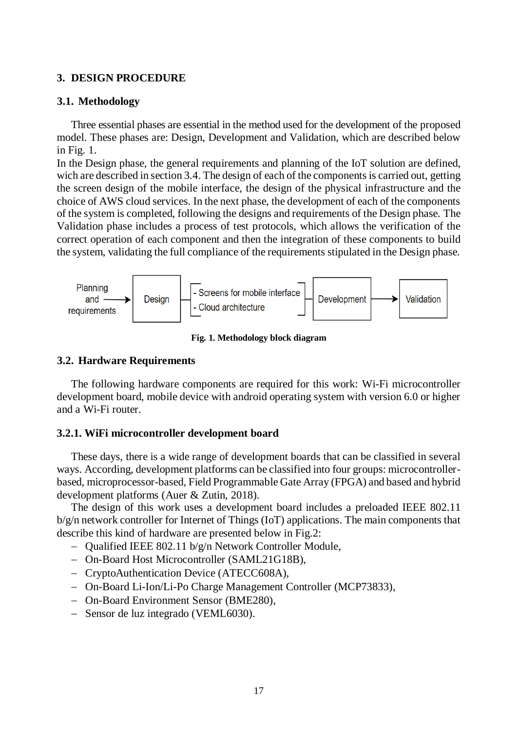# **3. DESIGN PROCEDURE**

#### **3.1. Methodology**

Three essential phases are essential in the method used for the development of the proposed model. These phases are: Design, Development and Validation, which are described below in Fig. 1.

In the Design phase, the general requirements and planning of the IoT solution are defined, wich are described in section 3.4. The design of each of the components is carried out, getting the screen design of the mobile interface, the design of the physical infrastructure and the choice of AWS cloud services. In the next phase, the development of each of the components of the system is completed, following the designs and requirements of the Design phase. The Validation phase includes a process of test protocols, which allows the verification of the correct operation of each component and then the integration of these components to build the system, validating the full compliance of the requirements stipulated in the Design phase.



**Fig. 1. Methodology block diagram**

#### **3.2. Hardware Requirements**

The following hardware components are required for this work: Wi-Fi microcontroller development board, mobile device with android operating system with version 6.0 or higher and a Wi-Fi router.

## **3.2.1. WiFi microcontroller development board**

These days, there is a wide range of development boards that can be classified in several ways. According, development platforms can be classified into four groups: microcontrollerbased, microprocessor-based, Field Programmable Gate Array (FPGA) and based and hybrid development platforms (Auer & Zutin, 2018).

The design of this work uses a development board includes a preloaded IEEE 802.11 b/g/n network controller for Internet of Things (IoT) applications. The main components that describe this kind of hardware are presented below in Fig.2:

- Qualified IEEE 802.11 b/g/n Network Controller Module,
- On-Board Host Microcontroller (SAML21G18B),
- CryptoAuthentication Device (ATECC608A),
- On-Board Li-Ion/Li-Po Charge Management Controller (MCP73833),
- On-Board Environment Sensor (BME280),
- Sensor de luz integrado (VEML6030).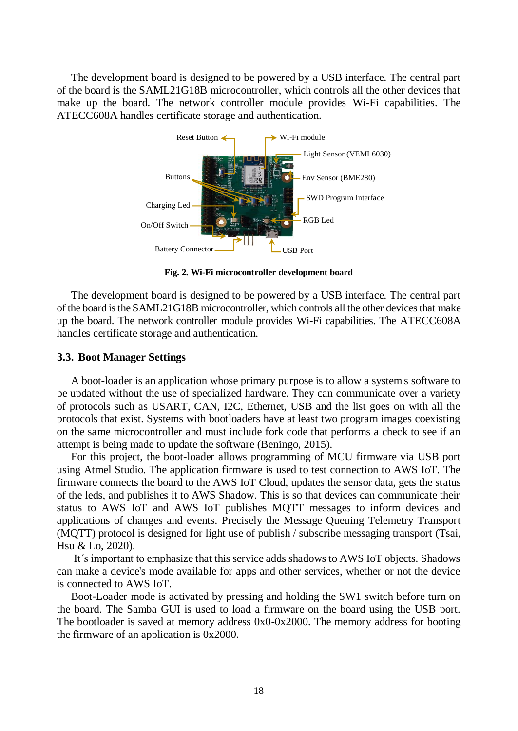The development board is designed to be powered by a USB interface. The central part of the board is the SAML21G18B microcontroller, which controls all the other devices that make up the board. The network controller module provides Wi-Fi capabilities. The ATECC608A handles certificate storage and authentication.



**Fig. 2. Wi-Fi microcontroller development board**

The development board is designed to be powered by a USB interface. The central part of the board is the SAML21G18B microcontroller, which controls all the other devices that make up the board. The network controller module provides Wi-Fi capabilities. The ATECC608A handles certificate storage and authentication.

## **3.3. Boot Manager Settings**

A boot-loader is an application whose primary purpose is to allow a system's software to be updated without the use of specialized hardware. They can communicate over a variety of protocols such as USART, CAN, I2C, Ethernet, USB and the list goes on with all the protocols that exist. Systems with bootloaders have at least two program images coexisting on the same microcontroller and must include fork code that performs a check to see if an attempt is being made to update the software (Beningo, 2015).

For this project, the boot-loader allows programming of MCU firmware via USB port using Atmel Studio. The application firmware is used to test connection to AWS IoT. The firmware connects the board to the AWS IoT Cloud, updates the sensor data, gets the status of the leds, and publishes it to AWS Shadow. This is so that devices can communicate their status to AWS IoT and AWS IoT publishes MQTT messages to inform devices and applications of changes and events. Precisely the Message Queuing Telemetry Transport (MQTT) protocol is designed for light use of publish / subscribe messaging transport (Tsai, Hsu & Lo, 2020).

It´s important to emphasize that this service adds shadows to AWS IoT objects. Shadows can make a device's mode available for apps and other services, whether or not the device is connected to AWS IoT.

Boot-Loader mode is activated by pressing and holding the SW1 switch before turn on the board. The Samba GUI is used to load a firmware on the board using the USB port. The bootloader is saved at memory address 0x0-0x2000. The memory address for booting the firmware of an application is 0x2000.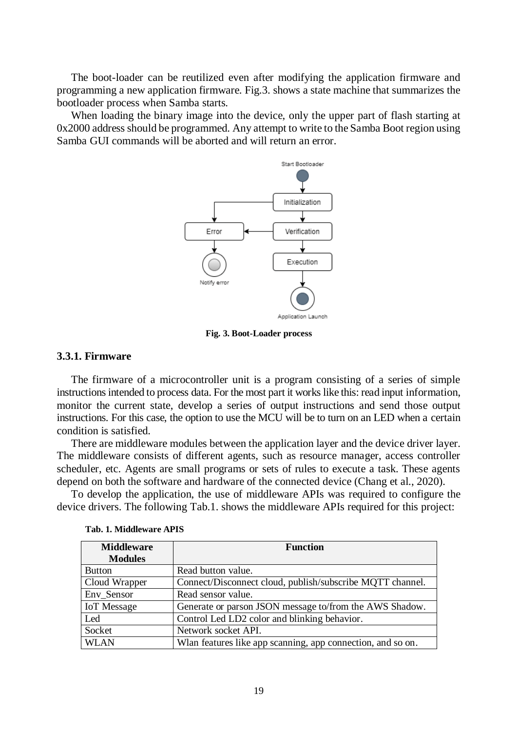The boot-loader can be reutilized even after modifying the application firmware and programming a new application firmware. Fig.3. shows a state machine that summarizes the bootloader process when Samba starts.

When loading the binary image into the device, only the upper part of flash starting at 0x2000 address should be programmed. Any attempt to write to the Samba Boot region using Samba GUI commands will be aborted and will return an error.



**Fig. 3. Boot-Loader process**

## **3.3.1. Firmware**

The firmware of a microcontroller unit is a program consisting of a series of simple instructions intended to process data. For the most part it works like this: read input information, monitor the current state, develop a series of output instructions and send those output instructions. For this case, the option to use the MCU will be to turn on an LED when a certain condition is satisfied.

There are middleware modules between the application layer and the device driver layer. The middleware consists of different agents, such as resource manager, access controller scheduler, etc. Agents are small programs or sets of rules to execute a task. These agents depend on both the software and hardware of the connected device (Chang et al., 2020).

To develop the application, the use of middleware APIs was required to configure the device drivers. The following Tab.1. shows the middleware APIs required for this project:

| <b>Middleware</b><br><b>Modules</b> | <b>Function</b>                                             |
|-------------------------------------|-------------------------------------------------------------|
| <b>Button</b>                       | Read button value.                                          |
| Cloud Wrapper                       | Connect/Disconnect cloud, publish/subscribe MQTT channel.   |
| Env Sensor                          | Read sensor value.                                          |
| <b>IoT</b> Message                  | Generate or parson JSON message to/from the AWS Shadow.     |
| Led                                 | Control Led LD2 color and blinking behavior.                |
| Socket                              | Network socket API.                                         |
| <b>WLAN</b>                         | Wlan features like app scanning, app connection, and so on. |

**Tab. 1. Middleware APIS**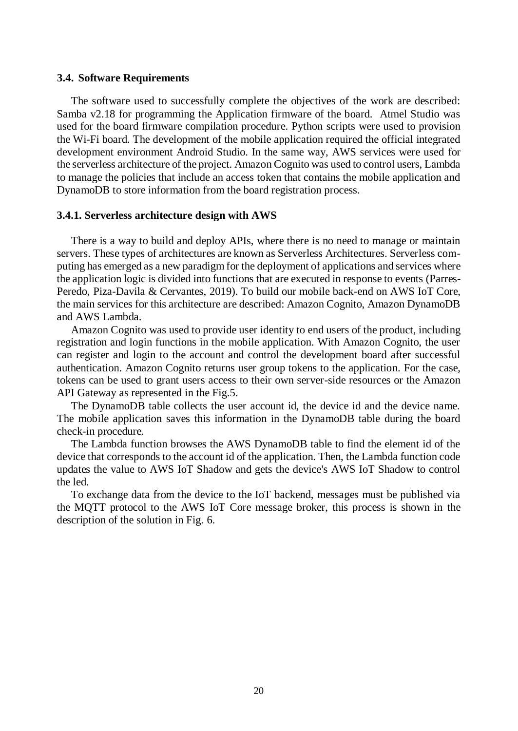#### **3.4. Software Requirements**

The software used to successfully complete the objectives of the work are described: Samba v2.18 for programming the Application firmware of the board. Atmel Studio was used for the board firmware compilation procedure. Python scripts were used to provision the Wi-Fi board. The development of the mobile application required the official integrated development environment Android Studio. In the same way, AWS services were used for the serverless architecture of the project. Amazon Cognito was used to control users, Lambda to manage the policies that include an access token that contains the mobile application and DynamoDB to store information from the board registration process.

#### **3.4.1. Serverless architecture design with AWS**

There is a way to build and deploy APIs, where there is no need to manage or maintain servers. These types of architectures are known as Serverless Architectures. Serverless computing has emerged as a new paradigm for the deployment of applications and services where the application logic is divided into functions that are executed in response to events (Parres-Peredo, Piza-Davila & Cervantes, 2019). To build our mobile back-end on AWS IoT Core, the main services for this architecture are described: Amazon Cognito, Amazon DynamoDB and AWS Lambda.

Amazon Cognito was used to provide user identity to end users of the product, including registration and login functions in the mobile application. With Amazon Cognito, the user can register and login to the account and control the development board after successful authentication. Amazon Cognito returns user group tokens to the application. For the case, tokens can be used to grant users access to their own server-side resources or the Amazon API Gateway as represented in the Fig.5.

The DynamoDB table collects the user account id, the device id and the device name. The mobile application saves this information in the DynamoDB table during the board check-in procedure.

The Lambda function browses the AWS DynamoDB table to find the element id of the device that corresponds to the account id of the application. Then, the Lambda function code updates the value to AWS IoT Shadow and gets the device's AWS IoT Shadow to control the led.

To exchange data from the device to the IoT backend, messages must be published via the MQTT protocol to the AWS IoT Core message broker, this process is shown in the description of the solution in Fig. 6.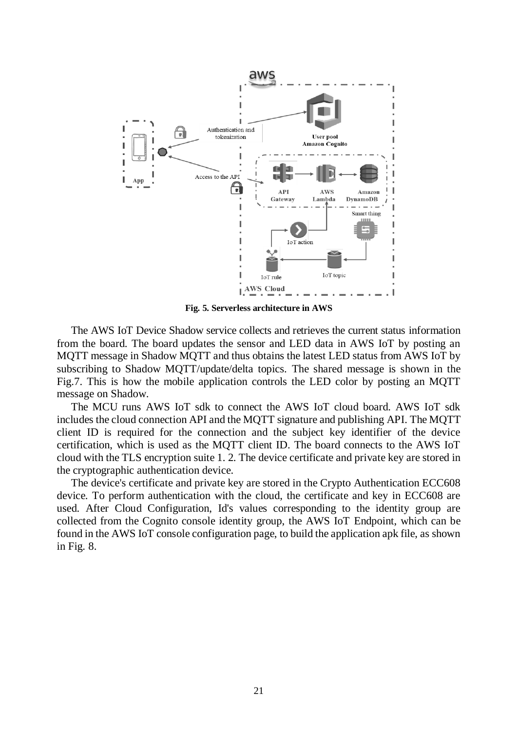

**Fig. 5. Serverless architecture in AWS**

The AWS IoT Device Shadow service collects and retrieves the current status information from the board. The board updates the sensor and LED data in AWS IoT by posting an MQTT message in Shadow MQTT and thus obtains the latest LED status from AWS IoT by subscribing to Shadow MQTT/update/delta topics. The shared message is shown in the Fig.7. This is how the mobile application controls the LED color by posting an MQTT message on Shadow.

The MCU runs AWS IoT sdk to connect the AWS IoT cloud board. AWS IoT sdk includes the cloud connection API and the MQTT signature and publishing API. The MQTT client ID is required for the connection and the subject key identifier of the device certification, which is used as the MQTT client ID. The board connects to the AWS IoT cloud with the TLS encryption suite 1. 2. The device certificate and private key are stored in the cryptographic authentication device.

The device's certificate and private key are stored in the Crypto Authentication ECC608 device. To perform authentication with the cloud, the certificate and key in ECC608 are used. After Cloud Configuration, Id's values corresponding to the identity group are collected from the Cognito console identity group, the AWS IoT Endpoint, which can be found in the AWS IoT console configuration page, to build the application apk file, as shown in Fig. 8.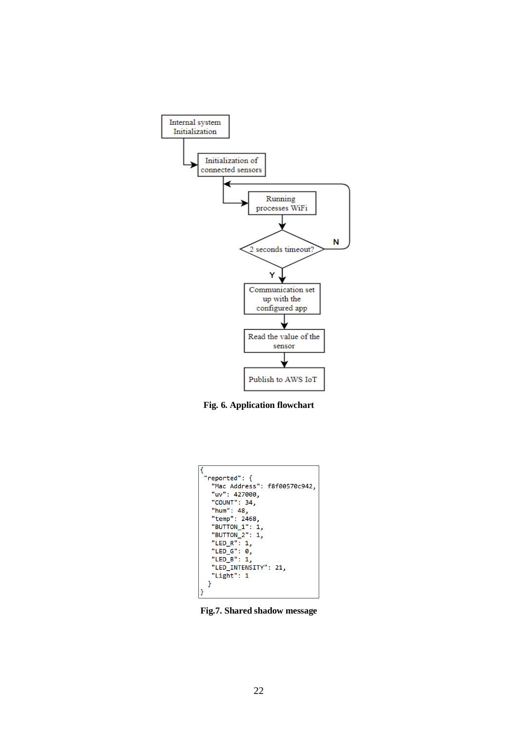

**Fig. 6. Application flowchart**



**Fig.7. Shared shadow message**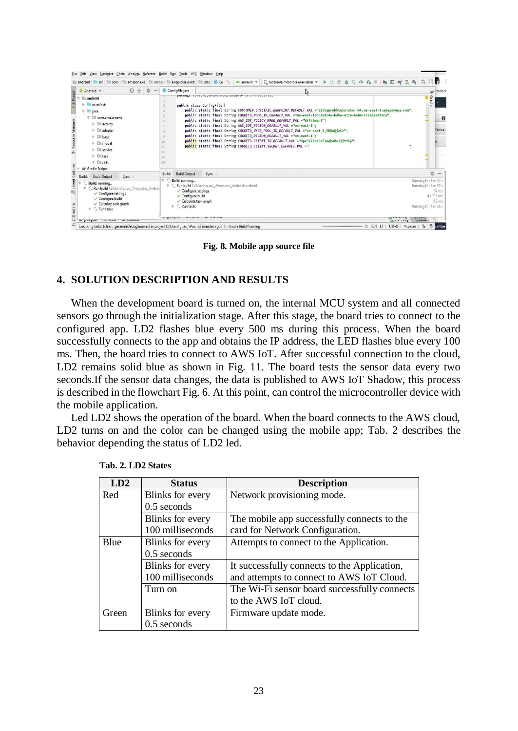| $0 + 1 -$<br>Android w                                                                                                                                                                                                                                                                                                  | C ConfigFile.java                                                                                                                                                                                    |                                                                                                                                                                                                                                                                                                                                                                                                                                                                                                                                                                                                                                                                                                                                                                                                        |                                                                      | a icadore                                 |
|-------------------------------------------------------------------------------------------------------------------------------------------------------------------------------------------------------------------------------------------------------------------------------------------------------------------------|------------------------------------------------------------------------------------------------------------------------------------------------------------------------------------------------------|--------------------------------------------------------------------------------------------------------------------------------------------------------------------------------------------------------------------------------------------------------------------------------------------------------------------------------------------------------------------------------------------------------------------------------------------------------------------------------------------------------------------------------------------------------------------------------------------------------------------------------------------------------------------------------------------------------------------------------------------------------------------------------------------------------|----------------------------------------------------------------------|-------------------------------------------|
| android<br>manifests<br>$V = i$ ava<br>com.amazonaws<br>$\triangleright$ $\Box$ activity<br>$\triangleright$ $\Box$ adapter<br>$\triangleright$ <b>Ell</b> hase<br>$\triangleright$ $\Box$ model<br>$\triangleright$ $\Box$ service<br>$\mathbb{R}$ $\mathbb{R}$ task<br>$\nabla$ Ell utils<br><b>AV</b> Gradle Scripts | 10<br>11<br>12<br>13<br>14                                                                                                                                                                           | ματικές του που στους που μια την ταινική του του του<br>public class ConfigFile {<br>public static final String CUSTOMER SPECIFIC ENDPOINT DEFAULT VAL ="a256qwrukh6q5x-ats.iot.us-east-1.amazonaws.com";<br>public static final String COGNITO_POOL_ID_DEFAULT_VAL ="us-east-1:bc268c4e-bdbe-4226-ba89-17ea22e282ca";<br>public static final String AWS_IOT_POLICY_NAME_DEFAULT_VAL ="WiFiSmart";<br>public static final String AWS_IOT_REGION_DEFAULT_VAL ="us-east-1";<br>public static final String COGNITO USER POOL ID DEFAULT VAL ="us-east-1 ERKuQjaCe";<br>public static final String COGNITO REGION DEFAULT VAL ="us-east-1";<br>public static final String COGNITO CLIENT ID DEFAULT VAL ="4pc9172ee9n51agha8o13jt96p";<br>public static final String COGNITO CLIENT SECRET DEFAULT VAL =" | $\mathbf{m}_z$                                                       | Gradle<br>$\boldsymbol{\Omega}$<br>Tables |
| Build:<br><b>Build Output</b><br>Sync<br>Build: running<br>V C Run build C:\Users\guau \Provectos Androi<br><b>√ Configure settings</b><br>Configure build<br>Calculate task graph<br>$\triangleright$ C Run tasks                                                                                                      | <b>Build Output</b><br>Build:<br>$\overline{\mathbf{v}}$ ( $\overline{\mathbf{v}}$ Build: running<br>Configure settings<br>Configure build<br>Calculate task graph<br>$\triangleright$ ( ) Run tasks | Sync<br>V ( Run build C:\Users\guau \Provectos Android\android                                                                                                                                                                                                                                                                                                                                                                                                                                                                                                                                                                                                                                                                                                                                         | Running for 1 m 37 s<br>Running for 1 m 37 s<br>Running for 1 m 32 s | 立 一<br>34 ms<br>4 s 713 ms<br>153 ms      |

**Fig. 8. Mobile app source file**

# **4. SOLUTION DESCRIPTION AND RESULTS**

When the development board is turned on, the internal MCU system and all connected sensors go through the initialization stage. After this stage, the board tries to connect to the configured app. LD2 flashes blue every 500 ms during this process. When the board successfully connects to the app and obtains the IP address, the LED flashes blue every 100 ms. Then, the board tries to connect to AWS IoT. After successful connection to the cloud, LD2 remains solid blue as shown in Fig. 11. The board tests the sensor data every two seconds.If the sensor data changes, the data is published to AWS IoT Shadow, this process is described in the flowchart Fig. 6. At this point, can control the microcontroller device with the mobile application.

Led LD2 shows the operation of the board. When the board connects to the AWS cloud, LD2 turns on and the color can be changed using the mobile app; Tab. 2 describes the behavior depending the status of LD2 led.

| LD2         | <b>Status</b>    | <b>Description</b>                           |
|-------------|------------------|----------------------------------------------|
| Red         | Blinks for every | Network provisioning mode.                   |
|             | $0.5$ seconds    |                                              |
|             | Blinks for every | The mobile app successfully connects to the  |
|             | 100 milliseconds | card for Network Configuration.              |
| <b>Blue</b> | Blinks for every | Attempts to connect to the Application.      |
|             | $0.5$ seconds    |                                              |
|             | Blinks for every | It successfully connects to the Application, |
|             | 100 milliseconds | and attempts to connect to AWS IoT Cloud.    |
|             | Turn on          | The Wi-Fi sensor board successfully connects |
|             |                  | to the AWS IoT cloud.                        |
| Green       | Blinks for every | Firmware update mode.                        |
|             | $0.5$ seconds    |                                              |

**Tab. 2. LD2 States**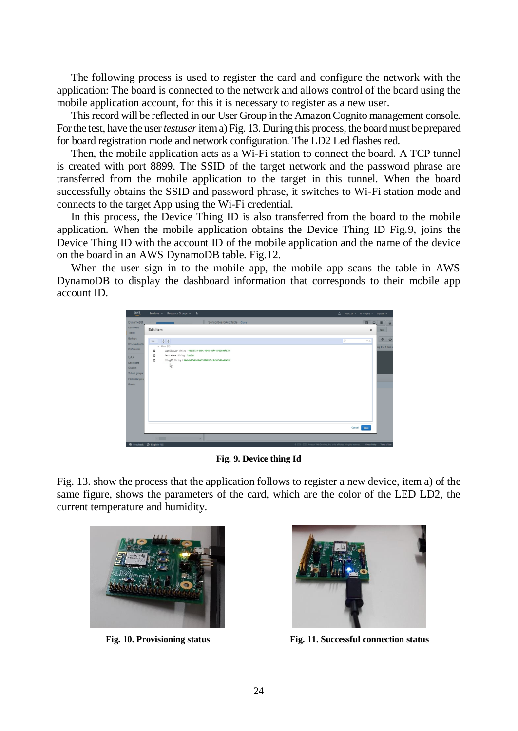The following process is used to register the card and configure the network with the application: The board is connected to the network and allows control of the board using the mobile application account, for this it is necessary to register as a new user.

This record will be reflected in our User Group in the Amazon Cognito management console. For the test, have the user *testuser* item a) Fig. 13. During this process, the board must be prepared for board registration mode and network configuration. The LD2 Led flashes red.

Then, the mobile application acts as a Wi-Fi station to connect the board. A TCP tunnel is created with port 8899. The SSID of the target network and the password phrase are transferred from the mobile application to the target in this tunnel. When the board successfully obtains the SSID and password phrase, it switches to Wi-Fi station mode and connects to the target App using the Wi-Fi credential.

In this process, the Device Thing ID is also transferred from the board to the mobile application. When the mobile application obtains the Device Thing ID Fig.9, joins the Device Thing ID with the account ID of the mobile application and the name of the device on the board in an AWS DynamoDB table. Fig.12.

When the user sign in to the mobile app, the mobile app scans the table in AWS DynamoDB to display the dashboard information that corresponds to their mobile app account ID.



**Fig. 9. Device thing Id**

Fig. 13. show the process that the application follows to register a new device, item a) of the same figure, shows the parameters of the card, which are the color of the LED LD2, the current temperature and humidity.





**Fig. 10. Provisioning status Fig. 11. Successful connection status**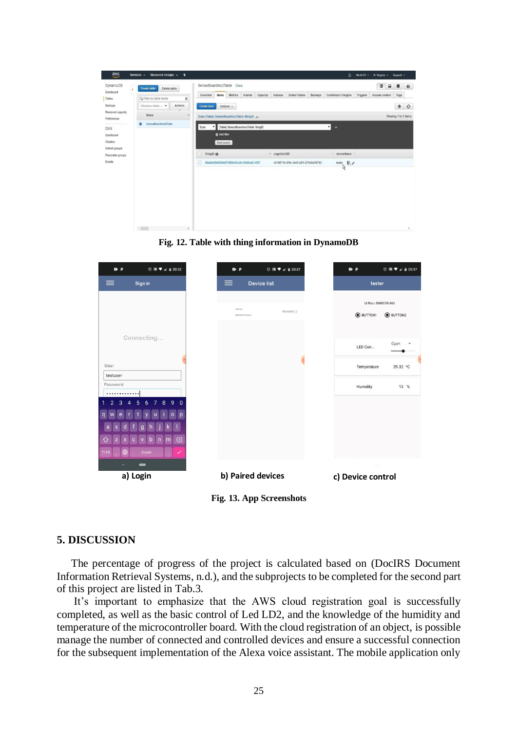| aws                               | Resource Groups v<br>Services v | ٠                                                                               |                                             |              |                                          |        |          |               |                                      |         |  | Δ                        |          | Micr0.26 v N. Virginia v Support v |                |           |                  |
|-----------------------------------|---------------------------------|---------------------------------------------------------------------------------|---------------------------------------------|--------------|------------------------------------------|--------|----------|---------------|--------------------------------------|---------|--|--------------------------|----------|------------------------------------|----------------|-----------|------------------|
| DynamoDB<br>Dashboard             | <b>Create</b> table             | Delete table                                                                    |                                             |              | SensorBoardAcctTable Close               |        |          |               |                                      |         |  |                          |          | $\blacksquare$                     | $\blacksquare$ |           | $\blacksquare$ 0 |
| Tables                            | Q Filter by table name          | ×                                                                               | Overview                                    | Items        | Metrics                                  | Alarms | Capacity | Indexes       | Global Tables                        | Backups |  | Contributor Insights     | Triggers | Access control                     |                | Tags      |                  |
| Backups                           | Choose a table  .               | Actions                                                                         | Create item                                 |              | Actions v                                |        |          |               |                                      |         |  |                          |          |                                    |                | $\bullet$ | $\mathcal{O}$    |
| Reserved capacity<br>Preferences  | Name                            | $\bullet$                                                                       | Scan: [Table] SensorBoardAcctTable: thingID |              |                                          |        |          |               |                                      |         |  |                          |          | Viewing 1 to 1 items               |                |           |                  |
| <b>DAX</b>                        | SensorBoardAccfTable            | ⊣<br>[Table] SensorBoardAcctTable: thingID<br>$\lambda$<br>$\mathbf{v}$<br>Scan |                                             |              |                                          |        |          |               |                                      |         |  |                          |          |                                    |                |           |                  |
| Dashboard                         |                                 |                                                                                 |                                             | O Add filter |                                          |        |          |               |                                      |         |  |                          |          |                                    |                |           |                  |
| Clusters                          |                                 |                                                                                 |                                             | Start search |                                          |        |          |               |                                      |         |  |                          |          |                                    |                |           |                  |
| Subnet groups<br>Parameter groups |                                 |                                                                                 | thing(0.49                                  |              |                                          |        |          | - cognitoUUID |                                      |         |  | - deviceName -           |          |                                    |                |           |                  |
| Events                            |                                 |                                                                                 |                                             |              | 95eb8a5fe6509e673856b3fcc6c10fe0ba614397 |        |          |               | 40169719-309c-4b45-b8f4-870b0a0f8793 |         |  | 书<br>tester <sub>.</sub> |          |                                    |                |           |                  |
|                                   |                                 |                                                                                 |                                             |              |                                          |        |          |               |                                      |         |  | Ŗ                        |          |                                    |                |           |                  |
|                                   |                                 |                                                                                 |                                             |              |                                          |        |          |               |                                      |         |  |                          |          |                                    |                |           |                  |
|                                   |                                 |                                                                                 |                                             |              |                                          |        |          |               |                                      |         |  |                          |          |                                    |                |           |                  |
|                                   |                                 |                                                                                 |                                             |              |                                          |        |          |               |                                      |         |  |                          |          |                                    |                |           |                  |
|                                   |                                 |                                                                                 |                                             |              |                                          |        |          |               |                                      |         |  |                          |          |                                    |                |           |                  |
|                                   |                                 |                                                                                 |                                             |              |                                          |        |          |               |                                      |         |  |                          |          |                                    |                |           |                  |
|                                   |                                 |                                                                                 |                                             |              |                                          |        |          |               |                                      |         |  |                          |          |                                    |                |           |                  |
|                                   | $\epsilon$ and $\epsilon$       | ¥                                                                               |                                             |              |                                          |        |          |               |                                      |         |  |                          |          |                                    |                |           | $\sim$           |

**Fig. 12. Table with thing information in DynamoDB** 

| $D - P$                             | <b>ひ回♥⊿ 自20:32</b>                              |
|-------------------------------------|-------------------------------------------------|
| $\equiv$                            | Sign in                                         |
|                                     |                                                 |
|                                     | Connecting                                      |
| User                                |                                                 |
| testuser<br>Password<br>.<br>3<br>Δ | 890<br>5<br>$\overline{7}$<br>6<br>D<br>English |
| $\ddot{}$                           | -<br>a) Login                                   |
|                                     |                                                 |

## **5. DISCUSSION**

The percentage of progress of the project is calculated based on (DocIRS Document Information Retrieval Systems, n.d.), and the subprojects to be completed for the second part of this project are listed in Tab.3.

It's important to emphasize that the AWS cloud registration goal is successfully completed, as well as the basic control of Led LD2, and the knowledge of the humidity and temperature of the microcontroller board. With the cloud registration of an object, is possible manage the number of connected and controlled devices and ensure a successful connection for the subsequent implementation of the Alexa voice assistant. The mobile application only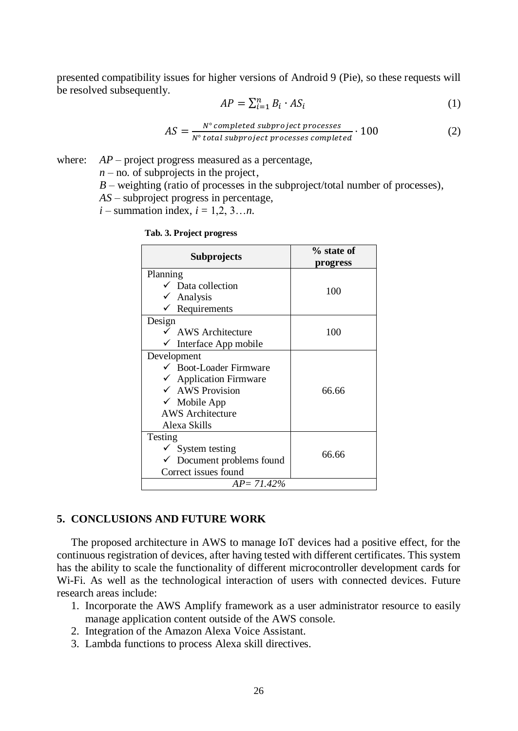presented compatibility issues for higher versions of Android 9 (Pie), so these requests will be resolved subsequently.

$$
AP = \sum_{i=1}^{n} B_i \cdot AS_i \tag{1}
$$

$$
AS = \frac{N^{\circ} \text{ completed } \text{subproject } \text{processes}}{N^{\circ} \text{ total } \text{subproject } \text{processes } \text{completed}} \cdot 100 \tag{2}
$$

where: *AP* – project progress measured as a percentage,

 $n -$  no. of subprojects in the project,

*B* – weighting (ratio of processes in the subproject/total number of processes),

*AS –* subproject progress in percentage,

*i –* summation index, *i* = 1,2, 3…*n*.

| Subprojects                       | $%$ state of |  |  |  |  |  |  |
|-----------------------------------|--------------|--|--|--|--|--|--|
|                                   | progress     |  |  |  |  |  |  |
| Planning                          |              |  |  |  |  |  |  |
| $\checkmark$ Data collection      | 100          |  |  |  |  |  |  |
| $\checkmark$ Analysis             |              |  |  |  |  |  |  |
| $\checkmark$ Requirements         |              |  |  |  |  |  |  |
| Design                            |              |  |  |  |  |  |  |
| $\checkmark$ AWS Architecture     | 100          |  |  |  |  |  |  |
| Interface App mobile              |              |  |  |  |  |  |  |
| Development                       |              |  |  |  |  |  |  |
| $\checkmark$ Boot-Loader Firmware |              |  |  |  |  |  |  |
| $\checkmark$ Application Firmware |              |  |  |  |  |  |  |
| $\checkmark$ AWS Provision        | 66.66        |  |  |  |  |  |  |
| $\checkmark$ Mobile App           |              |  |  |  |  |  |  |
| <b>AWS</b> Architecture           |              |  |  |  |  |  |  |
| Alexa Skills                      |              |  |  |  |  |  |  |
| Testing                           |              |  |  |  |  |  |  |
| $\checkmark$ System testing       |              |  |  |  |  |  |  |
| 66.66<br>Document problems found  |              |  |  |  |  |  |  |
| Correct issues found              |              |  |  |  |  |  |  |
| AP= 71.42%                        |              |  |  |  |  |  |  |

#### **Tab. 3. Project progress**

## **5. CONCLUSIONS AND FUTURE WORK**

The proposed architecture in AWS to manage IoT devices had a positive effect, for the continuous registration of devices, after having tested with different certificates. This system has the ability to scale the functionality of different microcontroller development cards for Wi-Fi. As well as the technological interaction of users with connected devices. Future research areas include:

- 1. Incorporate the AWS Amplify framework as a user administrator resource to easily manage application content outside of the AWS console.
- 2. Integration of the Amazon Alexa Voice Assistant.
- 3. Lambda functions to process Alexa skill directives.